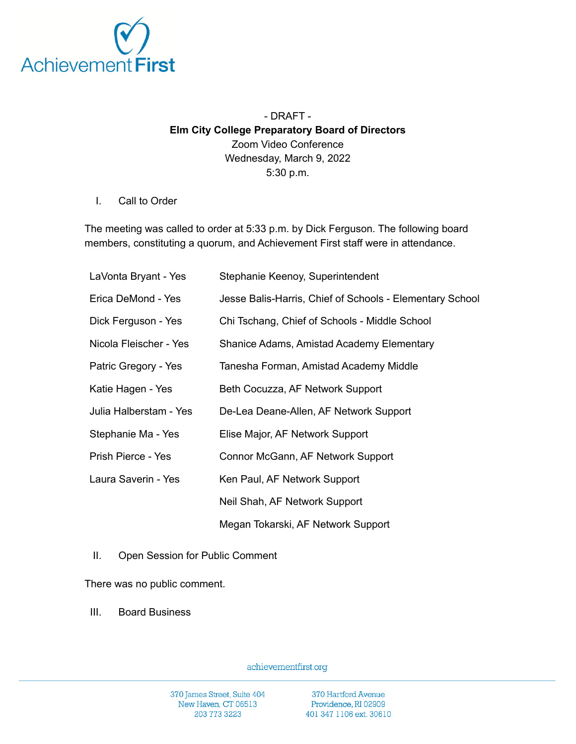

## - DRAFT - **Elm City College Preparatory Board of Directors** Zoom Video Conference Wednesday, March 9, 2022 5:30 p.m.

## I. Call to Order

The meeting was called to order at 5:33 p.m. by Dick Ferguson. The following board members, constituting a quorum, and Achievement First staff were in attendance.

| LaVonta Bryant - Yes   | Stephanie Keenoy, Superintendent                         |
|------------------------|----------------------------------------------------------|
| Erica DeMond - Yes     | Jesse Balis-Harris, Chief of Schools - Elementary School |
| Dick Ferguson - Yes    | Chi Tschang, Chief of Schools - Middle School            |
| Nicola Fleischer - Yes | Shanice Adams, Amistad Academy Elementary                |
| Patric Gregory - Yes   | Tanesha Forman, Amistad Academy Middle                   |
| Katie Hagen - Yes      | Beth Cocuzza, AF Network Support                         |
| Julia Halberstam - Yes | De-Lea Deane-Allen, AF Network Support                   |
| Stephanie Ma - Yes     | Elise Major, AF Network Support                          |
| Prish Pierce - Yes     | Connor McGann, AF Network Support                        |
| Laura Saverin - Yes    | Ken Paul, AF Network Support                             |
|                        | Neil Shah, AF Network Support                            |
|                        | Megan Tokarski, AF Network Support                       |

II. Open Session for Public Comment

There was no public comment.

III. Board Business

achievementfirst.org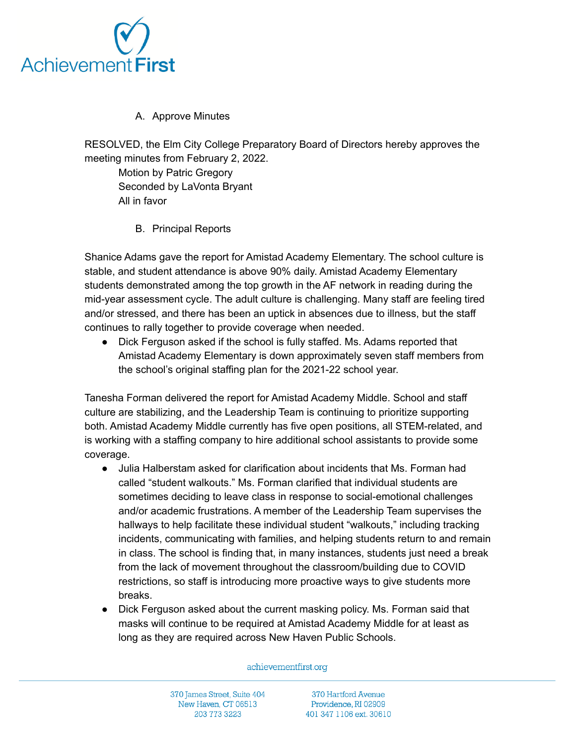

## A. Approve Minutes

RESOLVED, the Elm City College Preparatory Board of Directors hereby approves the meeting minutes from February 2, 2022.

Motion by Patric Gregory Seconded by LaVonta Bryant All in favor

B. Principal Reports

Shanice Adams gave the report for Amistad Academy Elementary. The school culture is stable, and student attendance is above 90% daily. Amistad Academy Elementary students demonstrated among the top growth in the AF network in reading during the mid-year assessment cycle. The adult culture is challenging. Many staff are feeling tired and/or stressed, and there has been an uptick in absences due to illness, but the staff continues to rally together to provide coverage when needed.

● Dick Ferguson asked if the school is fully staffed. Ms. Adams reported that Amistad Academy Elementary is down approximately seven staff members from the school's original staffing plan for the 2021-22 school year.

Tanesha Forman delivered the report for Amistad Academy Middle. School and staff culture are stabilizing, and the Leadership Team is continuing to prioritize supporting both. Amistad Academy Middle currently has five open positions, all STEM-related, and is working with a staffing company to hire additional school assistants to provide some coverage.

- Julia Halberstam asked for clarification about incidents that Ms. Forman had called "student walkouts." Ms. Forman clarified that individual students are sometimes deciding to leave class in response to social-emotional challenges and/or academic frustrations. A member of the Leadership Team supervises the hallways to help facilitate these individual student "walkouts," including tracking incidents, communicating with families, and helping students return to and remain in class. The school is finding that, in many instances, students just need a break from the lack of movement throughout the classroom/building due to COVID restrictions, so staff is introducing more proactive ways to give students more breaks.
- Dick Ferguson asked about the current masking policy. Ms. Forman said that masks will continue to be required at Amistad Academy Middle for at least as long as they are required across New Haven Public Schools.

achievementfirst.org

370 James Street, Suite 404 New Haven, CT 06513 203 773 3223

370 Hartford Avenue Providence, RI 02909 401 347 1106 ext. 30610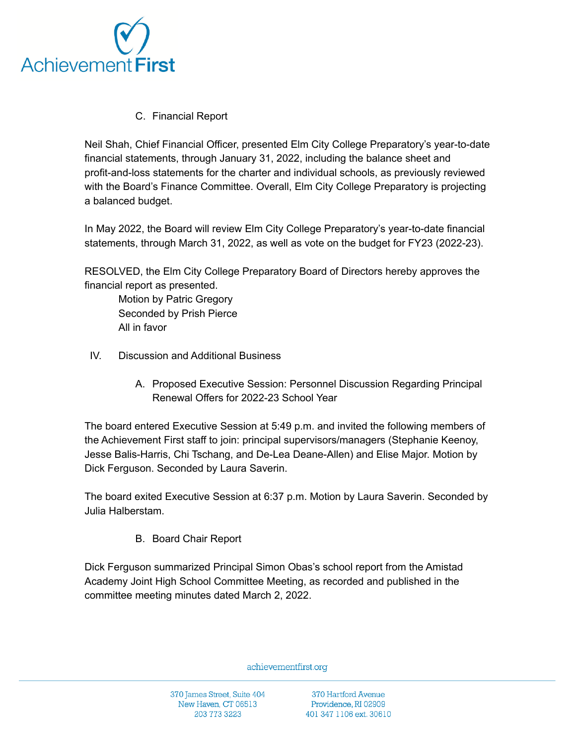

C. Financial Report

Neil Shah, Chief Financial Officer, presented Elm City College Preparatory's year-to-date financial statements, through January 31, 2022, including the balance sheet and profit-and-loss statements for the charter and individual schools, as previously reviewed with the Board's Finance Committee. Overall, Elm City College Preparatory is projecting a balanced budget.

In May 2022, the Board will review Elm City College Preparatory's year-to-date financial statements, through March 31, 2022, as well as vote on the budget for FY23 (2022-23).

RESOLVED, the Elm City College Preparatory Board of Directors hereby approves the financial report as presented.

Motion by Patric Gregory Seconded by Prish Pierce All in favor

- IV. Discussion and Additional Business
	- A. Proposed Executive Session: Personnel Discussion Regarding Principal Renewal Offers for 2022-23 School Year

The board entered Executive Session at 5:49 p.m. and invited the following members of the Achievement First staff to join: principal supervisors/managers (Stephanie Keenoy, Jesse Balis-Harris, Chi Tschang, and De-Lea Deane-Allen) and Elise Major. Motion by Dick Ferguson. Seconded by Laura Saverin.

The board exited Executive Session at 6:37 p.m. Motion by Laura Saverin. Seconded by Julia Halberstam.

B. Board Chair Report

Dick Ferguson summarized Principal Simon Obas's school report from the Amistad Academy Joint High School Committee Meeting, as recorded and published in the committee meeting minutes dated March 2, 2022.

achievementfirst.org